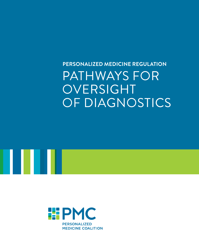## **Personalized Medicine RegulatioN** PATHWAYS FOR **OVERSIGHT** OF DIAGNOSTICS



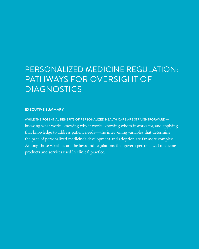## Personalized Medicine Regulation: PATHWAYS FOR OVERSIGHT OF **DIAGNOSTICS**

#### **Executive Summary**

WHILE THE POTENTIAL BENEFITS OF PERSONALIZED HEALTH CARE ARE STRAIGHTFORWARD knowing what works, knowing why it works, knowing whom it works for, and applying that knowledge to address patient needs—the intervening variables that determine the pace of personalized medicine's development and adoption are far more complex. Among those variables are the laws and regulations that govern personalized medicine products and services used in clinical practice.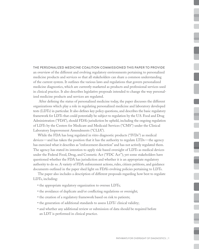#### The Personalized Medicine Coalition commissioned this paper to provide

an overview of the different and evolving regulatory environments pertaining to personalized medicine products and services so that all stakeholders can share a common understanding of the current system. It outlines the various laws and regulations that govern personalized medicine diagnostics, which are currently marketed as products and professional services used in clinical practice. It also describes legislative proposals intended to change the way personalized medicine products and services are regulated.

 After defining the status of personalized medicine today, the paper discusses the different organizations which play a role in regulating personalized medicine and laboratory developed tests (LDTs) in particular. It also defines key policy questions, and describes the basic regulatory framework for LDTs that could potentially be subject to regulation by the U.S. Food and Drug Administration ("FDA"), should FDA's jurisdiction be upheld, including the ongoing regulation of LDTs by the Centers for Medicare and Medicaid Services ("CMS") under the Clinical Laboratory Improvement Amendments ("CLIA").

While the FDA has long regulated in vitro diagnostic products ("IVDs") as medical devices—and has taken the position that it has the authority to regulate LTDs—the agency has exercised what it describes as "enforcement discretion" and has not actively regulated them. The agency has stated its intention to apply risk-based oversight of LDTs as medical devices under the Federal Food, Drug, and Cosmetic Act ("FDC Act"); yet some stakeholders have questioned whether the FDA has jurisdiction and whether it is an appropriate regulatory authority to do so. A variety of FDA enforcement actions, rules, citizen petitions, and guidance documents outlined in the paper shed light on FDA's evolving policies pertaining to LDTs.

The paper also includes a description of different proposals regarding how best to regulate LDTs, including:

- the appropriate regulatory organization to oversee LDTs;
- the avoidance of duplicate and/or conflicting regulations or oversight;
- the creation of a regulatory framework based on risk to patients;
- the generation of additional standards to assess LDTs' clinical validity;
- and whether any additional review or submission of data should be required before an LDT is performed in clinical practice.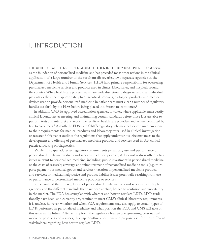## I. Introduction

The United States has been a global leader in the key discoveries that serve as the foundation of personalized medicine and has preceded most other nations in the clinical application of a large number of the resultant discoveries. Two separate agencies in the Department of Health and Human Services (HHS) hold primary responsibility for overseeing personalized medicine services and products used in clinics, laboratories, and hospitals around the country. While health care professionals have wide discretion to diagnose and treat individual patients as they deem appropriate, pharmaceutical products, biological products, and medical devices used to provide personalized medicine in patient care must clear a number of regulatory hurdles set forth by the FDA before being placed into interstate commerce.<sup>1</sup>

In addition, CMS, its approved accreditation agencies, or states, where applicable, must certify clinical laboratories as meeting and maintaining certain standards before those labs are able to perform tests and interpret and report the results to health care providers and, where permitted by law, to consumers.2 As both the FDA's and CMS's regulatory schemes include certain exemptions to their requirements for medical products and laboratory tests used in clinical investigation or research,<sup>3</sup> this paper outlines the regulations that apply under various circumstances to the development and offering of personalized medicine products and services used in U.S. clinical practice, focusing on diagnostics.

 While this paper addresses regulatory requirements permitting use and performance of personalized medicine products and services in clinical practice, it does not address other policy issues relevant to personalized medicine, including: public investment in personalized medicine or the costs of research; coverage and reimbursement of personalized medicine tools (e.g. third party payment for medical goods and services); taxation of personalized medicine products and services; or medical malpractice and product liability issues potentially resulting from use or performance of personalized medicine products or services.

Some contend that the regulation of personalized medicine tests and services by multiple agencies, and the different standards that have been applied, has led to confusion and uncertainty in the market. The FDA has struggled with whether and how to regulate LDTs. LDTs traditionally have been, and currently are, required to meet CMS's clinical laboratory requirements; it is unclear, however, whether and when FDA requirements may also apply to certain types of LDTs performed in personalized medicine and what position the FDA and CMS will take on this issue in the future. After setting forth the regulatory frameworks governing personalized medicine products and services, this paper outlines positions and proposals set forth by different stakeholders regarding how best to regulate LDTs.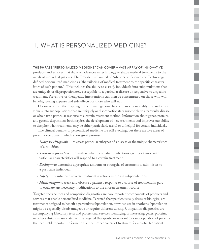### II. What Is Personalized Medicine?

#### The phrase "personalized medicine" can cover a vast array of innovative

products and services that draw on advances in technology to shape medical treatments to the needs of individual patients. The President's Council of Advisors on Science and Technology defined personalized medicine as "the tailoring of medical treatment to the specific characteristics of each patient."4 This includes the ability to classify individuals into subpopulations that are uniquely or disproportionately susceptible to a particular disease or responsive to a specific treatment. Preventive or therapeutic interventions can then be concentrated on those who will benefit, sparing expense and side effects for those who will not.

Discoveries from the mapping of the human genome have enhanced our ability to classify individuals into subpopulations that are uniquely or disproportionately susceptible to a particular disease or who have a particular response to a certain treatment method. Information about genes, proteins, and genetic dispositions both inspires the development of new treatments and improves our ability to decipher what treatments may be either particularly useful or unhelpful for certain individuals.

The clinical benefits of personalized medicine are still evolving, but there are five areas of present development which show great promise:<sup>5</sup>

- *Diagnosis/Prognosis*—to assess particular subtypes of a disease or the unique characteristics of a condition
- *Treatment prediction*—to analyze whether a patient, infectious agent, or tumor with particular characteristics will respond to a certain treatment
- *Dosing*—to determine appropriate amounts or strengths of treatment to administer to a particular individual
- *Safety* to anticipate adverse treatment reactions in certain subpopulations
- *Monitoring* to track and observe a patient's response to a course of treatment, in part to evaluate any necessary modifications to the chosen treatment course

Targeted therapeutics and companion diagnostics are two important components of products and services that enable personalized medicine. Targeted therapeutics, usually drugs or biologics, are treatments designed to benefit a particular subpopulation, or whose use in another subpopulation might be especially disadvantageous or require different dosing. Companion diagnostics are accompanying laboratory tests and professional services identifying or measuring genes, proteins, or other substances associated with a targeted therapeutic or relevant to a subpopulation of patients that can yield important information on the proper course of treatment for a particular patient.

 $\overline{\phantom{a}}$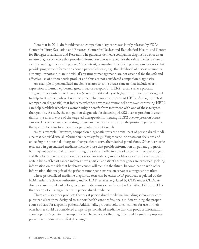Note that in 2011, draft guidance on companion diagnostics was jointly released by FDA's Center for Drug Evaluation and Research, Center for Devices and Radiological Health, and Center for Biologics Evaluation and Research. The guidance defined a companion diagnostic device as an in vitro diagnostic device that provides information that is essential for the safe and effective use of a corresponding therapeutic product.<sup>6</sup> In contrast, personalized medicine products and services that provide prognostic information about a patient's disease, e.g., the likelihood of disease recurrence, although important in an individual's treatment management, are not essential for the safe and effective use of a therapeutic product and thus are not considered companion diagnostics.

An example of personalized medicine relates to some breast cancers that include overexpression of human epidermal growth factor receptor 2 (HER2), a cell surface protein. Targeted therapeutics like Herceptin (trastuzumab) and Tykerb (lapatinib) have been designed to help treat women whose breast cancers include over-expression of HER2. A diagnostic test (companion diagnostic) that indicates whether a woman's tumor cells are over-expressing HER2 can help establish whether a woman might benefit from treatment with one of these targeted therapeutics. As such, the companion diagnostic for detecting HER2 over-expression is essential for the effective use of the targeted therapeutic for treating HER2 over-expression breast cancers. In such a case, the treating physician may use a companion diagnostic together with a therapeutic to tailor treatment to a particular patient's needs.

As this example illustrates, companion diagnostic tests are a vital part of personalized medicine that can yield crucial information necessary for guiding therapeutic treatment decisions and unlocking the potential of targeted therapeutics to serve their desired populations. Other diagnostic tests used in personalized medicine include those that provide information on patient prognosis but may not be essential for determining the safe and effective use of a specific therapeutic agent and therefore are not companion diagnostics. For instance, another laboratory test for women with certain kinds of breast cancer analyzes how a particular patient's tumor genes are expressed, yielding information on the risk that her breast cancer will recur in the future. In combination with other information, this analysis of the patient's tumor gene expression serves as a prognostic marker.

These personalized medicine diagnostic tests can be either IVD products, regulated by the FDA under the device authorities, and/or LDT services, regulated by CMS under CLIA. As discussed in more detail below, companion diagnostics can be a subset of either IVDs or LDTs that bear particular significance in personalized medicine.

There are also other products that assist personalized medicine, including software or computerized algorithms designed to support health care professionals in determining the proper course of care for a specific patient. Additionally, products sold to consumers for use in their own homes could be considered a type of personalized medicine that can produce information about a person's genetic make-up or other characteristics that might be used to guide appropriate preventive treatments or lifestyle changes.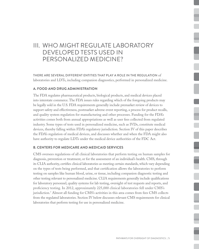## III. Who Might Regulate Laboratory Developed Tests Used in Personalized Medicine?

There are several different entities that play a role in the regulation of laboratories and LDTs, including companion diagnostics, performed in personalized medicine.

#### **A. Food and Drug Administration**

The FDA regulates pharmaceutical products, biological products, and medical devices placed into interstate commerce. The FDA issues rules regarding which of the foregoing products may be legally sold in the U.S. FDA requirements generally include premarket review of devices to support safety and effectiveness, postmarket adverse event reporting, a process for product recalls, and quality system regulation for manufacturing and other processes. Funding for the FDA's activities comes both from annual appropriations as well as user fees collected from regulated industry. Some types of tests used in personalized medicine, such as IVDs, constitute medical devices, thereby falling within FDA's regulatory jurisdiction. Section IV of this paper describes the FDA's regulation of medical devices, and discusses whether and when the FDA might also have authority to regulate LDTs under the medical device authorities of the FDC Act.

#### **B. Centers for Medicare and Medicaid Services**

CMS oversees regulations of all clinical laboratories that perform testing on human samples for diagnosis, prevention or treatment, or for the assessment of an individual's health. CMS, through its CLIA authority, certifies clinical laboratories as meeting certain standards, which vary depending on the types of tests being performed, and that certification allows the laboratories to perform testing on samples like human blood, urine, or tissue, including companion diagnostic testing and other testing relevant to personalized medicine. CLIA requirements generally include qualifications for laboratory personnel, quality systems for lab testing, oversight of test requests and reports, and proficiency testing. In 2012, approximately 225,000 clinical laboratories fell under CMS's jurisdiction.7 Almost all funding for CMS's activities in this area comes from fees CMS collects from the regulated laboratories. Section IV below discusses relevant CMS requirements for clinical laboratories that perform testing for use in personalized medicine.

i<br>L

i

i

l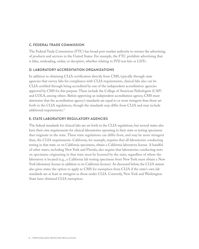#### **C. Federal Trade Commission**

The Federal Trade Commission (FTC) has broad post-market authority to oversee the advertising of products and services in the United States. For example, the FTC prohibits advertising that is false, misleading, unfair, or deceptive, whether relating to IVD test kits or LDTs.

#### **D. Laboratory Accreditation Organizations**

In addition to obtaining CLIA certification directly from CMS, typically through state agencies that survey labs for compliance with CLIA requirements, clinical labs also can be CLIA certified through being accredited by one of the independent accreditation agencies approved by CMS for this purpose. These include the College of American Pathologists (CAP) and COLA, among others. Before approving an independent accreditation agency, CMS must determine that the accreditation agency's standards are equal to or more stringent than those set forth in the CLIA regulations, though the standards may differ from CLIA and may include additional requirements.<sup>8</sup>

#### **E. State Laboratory Regulatory Agencies**

The federal standards for clinical labs are set forth in the CLIA regulations, but several states also have their own requirements for clinical laboratories operating in their state or testing specimens that originate in the state. These state regulations can differ from, and may be more stringent than, the CLIA requirements. California, for example, requires that all laboratories conducting testing in that state, or on California specimens, obtain a California laboratory license. A handful of other states, including New York and Florida, also require that laboratories conducting tests on specimens originating in that state must be licensed by the state, regardless of where the laboratory is located (e.g., a California lab testing specimens from New York must obtain a New York laboratory license in addition to its California license). As discussed below, the CLIA statute also gives states the option to apply to CMS for exemption from CLIA if the state's own lab standards are at least as stringent as those under CLIA. Currently, New York and Washington State have obtained CLIA exemption.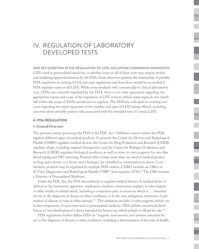## iV. Regulation of Laboratory Developed Tests

One key question in the regulation of LDTs, including companion diagnostic LDTs used in personalized medicine, is whether some or all of these tests may require review and marketing approval/clearance by the FDA. Some observers question the relationship of possible FDA regulation to existing CLIA and state regulations and how those would be reconciled if FDA regulates some or all LDTs. While some products sold commercially to clinical laboratories (e.g., IVDs) are currently regulated by the FDA, there is not clear agreement regarding the appropriate nature and scope of the regulation of LDT services, which many argue do not clearly fall within the scope of FDA's jurisdiction to regulate. The FDA has indicated its evolving concerns regarding the rapid expansion of the number and type of LDTs being offered, including concerns about possible patient risks associated with the intended uses of certain LDTs.

#### **A. FDA Regulation**

#### **1. General Overview**

The primary statute governing the FDA is the FDC Act.9 Different centers within the FDA regulate different types of medical products. In general, the Center for Devices and Radiological Health (CDRH) regulates medical devices; the Center for Drug Evaluation and Research (CDER) regulates drugs, including targeted therapeutics; and the Center for Biologics Evaluation and Research (CBER) regulates biological products, as well as some in vitro reagents for uses like blood typing and HIV screening. Products that contain more than one kind of medical product (a drug and a device or a device and a biologic) are classified as combination products. Combination products may be regulated by multiple FDA centers. CDRH includes an Office of In Vitro Diagnostics and Radiological Health ("OIR") that regulates IVDs.10 The OIR includes a Director of Personalized Medicine.

Under the FDC Act, the FDA has authority to regulate medical devices. A medical device is defined as "an instrument, apparatus, implement, machine, contrivance, implant, in vitro reagent, or other similar or related article, including a component part, or accessory which is … intended for use in the diagnosis of disease or other conditions, or in the cure, mitigation, treatment, or prevention of disease, in man or other animals."11 This definition includes in vitro reagents, which can be key components of some tests used in personalized medicine. FDA defines commercial distribution as "any distribution of a device intended for human use which is held or offered for sale."12

FDA regulations further define IVDs as: "reagents, instruments, and systems intended for use in the diagnosis of disease or other conditions, including a determination of the state of health,  $\frac{1}{2}$ 

i

٦

L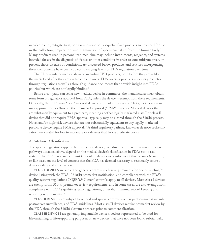in order to cure, mitigate, treat, or prevent disease or its sequelae. Such products are intended for use in the collection, preparation, and examination of specimens taken from the human body."13 Many products used in personalized medicine may include instruments, reagents, and systems intended for use in the diagnosis of disease or other conditions in order to cure, mitigate, treat, or prevent those diseases or conditions. As discussed below, products and services incorporating these components have been subject to varying levels of FDA regulation over time.

The FDA regulates medical devices, including IVD products, both before they are sold in the market and after they are available to end users. FDA oversees products under its jurisdiction through regulations as well as through guidance documents that provide insight into FDA's policies but which are not legally binding.14

Before a company can sell a new medical device in commerce, the manufacturer must obtain some form of regulatory approval from FDA, unless the device is exempt from these requirements. Generally, the FDA may "clear" medical devices for marketing via the 510(k) notification or may approve devices through the premarket approval ("PMA") process. Medical devices that are substantially equivalent to a predicate, meaning another legally marketed class I or class II device that did not require PMA approval, typically may be cleared through the 510(k) process. Novel and/or high-risk devices that are not substantially equivalent to any legally marketed predicate device require PMA approval.15 A third regulatory pathway known as de novo reclassification was created for low to moderate risk devices that lack a predicate device.

#### **2. Risk-based Classification**

The specific regulations applicable to a medical device, including the different premarket review pathways discussed above, depend on the medical device's classification in FDA's risk-based system. The FDA has classified most types of medical devices into one of three classes (class I, II, or III) based on the level of controls that the FDA has deemed necessary to reasonably assure a device's safety and effectiveness.

**CLASS I DEVICES** are subject to general controls, such as requirements for device labeling,<sup>16</sup> device listing with the  $FDA<sup>17</sup> 510(k)$  premarket notification, and compliance with the  $FDA<sup>s</sup>$ quality systems regulations ("QSR").18 General controls apply to all devices. Most class I devices are exempt from 510(k) premarket review requirements, and in some cases, are also exempt from compliance with FDA's quality systems regulations, other than minimal record keeping and reporting requirements.19

Class II devices are subject to general and special controls, such as performance standards, postmarket surveillance, and FDA guidelines. Most class II devices require premarket review by the FDA through the 510(k) clearance process prior to commercialization.

Class III devices are generally implantable devices; devices represented to be used for life-sustaining or life-supporting purposes; or, new devices that have not been found substantially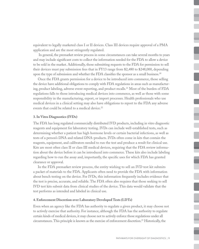equivalent to legally marketed class I or II devices. Class III devices require approval of a PMA application and are the most stringently regulated.

 In general, the premarket review process in some circumstances can take several months to years and may include significant costs to collect the information needed for the FDA to allow a device to be sold in the market. Additionally, those submitting requests to the FDA for permission to sell their devices must pay submission fees that in FY13 range from \$2,480 to \$248,000, depending upon the type of submission and whether the FDA classifies the sponsor as a small business.<sup>20</sup>

Once the FDA grants permission for a device to be introduced into commerce, those selling the device have additional obligations to comply with FDA regulations in areas such as manufacturing, product labeling, adverse event reporting, and product recalls.21 Most of the burden of FDA regulations falls to those introducing medical devices into commerce, as well as those with some responsibility in the manufacturing, export, or import processes. Health professionals who use medical devices in a clinical setting may also have obligations to report to the FDA any adverse events that could be related to a medical device.<sup>22</sup>

#### **3. In Vitro Diagnostics (IVDs)**

The FDA has long regulated commercially distributed IVD products, including in vitro diagnostic reagents and equipment for laboratory testing. IVDs can include well-established tests, such as determining whether a patient has high hormone levels or certain bacterial infections, as well as tests of a person's DNA and related DNA-products. IVDs often come in kits that contain the reagents, equipment, and calibrators needed to run the test and produce a result for clinical use. Kits are most often class II or class III medical devices, requiring that the FDA review information about the device before it can be introduced into commerce. These kits also include labeling regarding how to run the assay and, importantly, the specific uses for which FDA has granted clearance or approval.

In the FDA premarket review process, the entity wishing to sell an IVD test kit submits a packet of materials to the FDA. Applicants often need to provide the FDA with information about bench testing on the device. For IVDs, this information frequently includes evidence that the test is precise, accurate, and reliable. The FDA often also requires that those seeking to sell IVD test kits submit data from clinical studies of the device. This data would validate that the test performs as intended and labeled in clinical use.

#### **4. Enforcement Discretion over Laboratory Developed Tests (LDTs)**

Even when an agency like the FDA has authority to regulate a given product, it may choose not to actively exercise that authority. For instance, although the FDA has the authority to regulate certain kinds of medical devices, it may choose not to actively enforce those regulations under all circumstances. This principle is known as the exercise of enforcement discretion.23 Historically, the

ł

I

I

l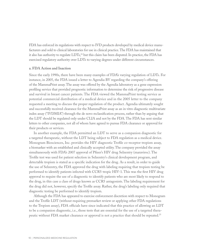FDA has enforced its regulations with respect to IVD products developed by medical device manufacturers and sold to clinical laboratories for use in clinical practice. The FDA has maintained that it also has authority to regulate  $LDTs<sub>1</sub><sup>24</sup>$  but this claim has been disputed. In practice, the FDA has exercised regulatory authority over LDTs to varying degrees under different circumstances.

#### **a. FDA Action and Inaction**

Since the early 1990s, there have been many examples of FDA's varying regulation of LDTs. For instance, in 2005, the FDA issued a letter to Agendia BV regarding the company's offering of the MammaPrint assay. The assay was offered by the Agendia laboratory as a gene expression profiling service that provided prognostic information to determine the risk of progressive disease and survival in breast cancer patients. The FDA viewed the MammaPrint testing service as potential commercial distribution of a medical device and in the 2005 letter to the company requested a meeting to discuss the proper regulation of the product. Agendia ultimately sought and successfully received clearance for the MammaPrint assay as an in vitro diagnostic multivariate index assay ("IVDMIA") through the de novo reclassification process, rather than by arguing that the LDT should be regulated only under CLIA and not by the FDA. The FDA has sent similar letters to other companies, not all of whom have agreed to pursue FDA clearance or approval for their products or services.

In another example, the FDA permitted an LDT to serve as a companion diagnostic for a targeted therapeutic, without the LDT being subject to FDA regulation as a medical device. Monogram Biosciences, Inc. provides the HIV diagnostic Trofile co-receptor tropism assay, a biomarker with an established and clinically accepted utility. The company provided the assay simultaneously with FDA's 2007 approval of Pfizer's HIV drug Selzentry (maraviroc). The Trofile test was used for patient selection in Selzentry's clinical development program, and detectable tropism is stated as a specific indication for the drug. As a result, in order to guide the use of Selzentry, the FDA approved the drug with labeling requiring that tropism testing be performed to identify patients infected with CCR5-tropic HIV-1. This was the first HIV drug approval to require the use of a diagnostic to identify patients who are most likely to respond to the drug, in this case a class of drugs known as CCR5 antagonists. The labeling requirement for the drug did not, however, specify the Trofile assay. Rather, the drug's labeling only required that diagnostic testing be performed to identify tropism.

Although the FDA has appeared to exercise enforcement discretion with respect to Monogram and the Trofile LDT (without requiring premarket review or applying other FDA regulations to the Tropism assay), FDA officials have since indicated that this practice of allowing an LDT to be a companion diagnostic, i.e., those tests that are essential for the use of a targeted therapeutic without FDA market clearance or approval is not a practice that should be repeated.<sup>25</sup>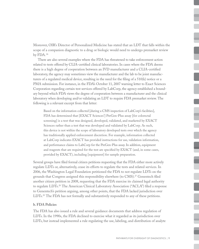Moreover, OIR's Director of Personalized Medicine has stated that an LDT that falls within the scope of a companion diagnostic to a drug or biologic would need to undergo premarket review by FDA. 26

There are also several examples where the FDA has threatened to take enforcement action related to tests offered by CLIA-certified clinical laboratories. In cases where the FDA deems there is a high degree of cooperation between an IVD manufacturer and a CLIA-certified laboratory, the agency may sometimes view the manufacturer and the lab to be joint manufacturers of a regulated medical device, resulting in the need for the filing of a 510(k) notice or a PMA submission. For instance, in the FDA's October 11, 2007 warning letter to Exact Sciences Corporation regarding certain test services offered by LabCorp, the agency established a boundary beyond which FDA views the degree of cooperation between a manufacturer and the clinical laboratory when developing and/or validating an LDT to require FDA premarket review. The following is a relevant excerpt from that letter:

Based on the information collected [during a CMS inspection of LabCorp's facilities], FDA has determined that [EXACT Sciences'] PreGen-Plus assay [for colorectal screening] is a test that was designed, developed, validated, and marketed by EXACT Sciences rather than a test that was developed and validated by LabCorp. As such, this device is not within the scope of laboratory developed tests over which the agency has traditionally applied enforcement discretion. For example, information collected at LabCorp indicates EXACT has provided instructions for use, validation information, and performance claims to LabCorp for the PreGen-Plus assay. In addition, equipment and reagents that are required for the test are specified by EXACT (and, in some cases, provided by EXACT), including [equipment] for sample preparation.

Several groups have filed formal citizen petitions requesting that the FDA either more actively regulate LDTs or, alternatively, cease its efforts to regulate the tests and related services. In 2006, the Washington Legal Foundation petitioned the FDA to not regulate LDTs on the grounds that Congress assigned this responsibility elsewhere (to CMS).<sup>27</sup> Genentech filed another citizen petition in 2008, requesting that the FDA exercise its claimed legal authority to regulate LDTs.<sup>28</sup> The American Clinical Laboratory Association ("ACLA") filed a response to Genentech's petition arguing, among other points, that the FDA lacked jurisdiction over LDTs.<sup>29</sup> The FDA has not formally and substantively responded to any of these petitions.

#### **b. FDA Policies**

The FDA has also issued a rule and several guidance documents that address regulation of LDTs. In the 1990s, the FDA declined to exercise what it regarded as its jurisdiction over LDTs, but instead implemented a rule regulating the use, labeling, and distribution of analyte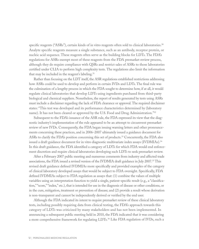specific reagents ("ASRs"), certain kinds of in vitro reagents often sold to clinical laboratories.<sup>30</sup> Analyte specific reagents measure a single substance, such as an antibody, receptor protein, or nucleic acid sequence. These reagents often serve as the building blocks for LDTs. The FDA's regulations for ASRs exempt most of these reagents from the FDA premarket review process, although they do require compliance with QSRs and restrict sales of ASRs to those laboratories certified under CLIA to perform high complexity tests. The regulations also limit the information that may be included in the reagent's labeling.<sup>31</sup>

Rather than focusing on the LDT itself, the ASR regulations established restrictions addressing how ASRs could be used to develop and perform in certain IVDs and LDTs. The final rule was the culmination of a lengthy process in which the FDA sought to determine how, if at all, it would regulate clinical laboratories that develop LDTs using ingredients purchased from third-party biological and chemical suppliers. Nonetheless, the report of results generated by tests using ASRs must include a disclaimer regarding the lack of FDA clearance or approval. The required disclaimer states: "This test was developed and its performance characteristics determined by (laboratory name). It has not been cleared or approved by the U.S. Food and Drug Administration."<sup>32</sup>

Subsequent to the FDA's issuance of the ASR rule, the FDA expressed its view that the diagnostic industry's implementation of the rule appeared to be an attempt to circumvent premarket review of new IVDs. Consequently, the FDA began issuing warning letters and other pronouncements concerning these practices, and in 2006–2007 ultimately issued a guidance document for ASRs to clarify the FDA's position concerning this set of products.<sup>33</sup> Concurrently, the FDA also issued a draft guidance document for in vitro diagnostic multivariate index assays (IVDMIAs).34 In this draft guidance, the FDA identified a category of LDTs for which FDA would end enforcement discretion and require clinical laboratories developing such LDTs to seek premarket review.

After a February 2007 public meeting and numerous comments from industry and affected trade associations, the FDA issued a revised version of the IVDMIA draft guidance in July 2007.35 This revised draft guidance defined IVDMIAs more specifically and provided examples of the category of clinical laboratory developed assays that would be subject to FDA oversight. Specifically, FDA defined IVDMIAs subject to FDA regulation as assays that: (1) combine the values of multiple variables using an interpretation function to yield a single, patient-specific result (e.g., a "classification," "score," "index," etc.), that is intended for use in the diagnosis of disease or other conditions, or in the cure, mitigation, treatment or prevention of disease; and (2) provide a result whose derivation is non-transparent and cannot be independently derived or verified by the end user.

Although the FDA indicated its intent to require premarket review of these clinical laboratory tests, including possibly requiring data from clinical testing, the FDA's approach towards this category of LDTs was criticized by many stakeholders and has not been implemented. In announcing a subsequent public meeting held in 2010, the FDA indicated that it was considering a more comprehensive framework for regulating LDTs.36 Like FDA regulation of IVDs, such a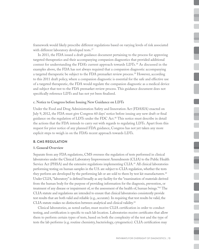framework would likely prescribe different regulations based on varying levels of risk associated with different laboratory developed tests.<sup>37</sup>

In 2011, the FDA issued a draft guidance document pertaining to the process for approving targeted therapeutics and their accompanying companion diagnostics that provided additional context for understanding the FDA's current approach towards LDTs.<sup>38</sup> As discussed in the examples above, the FDA has not always required that a companion diagnostic accompanying a targeted therapeutic be subject to the FDA premarket review process.<sup>39</sup> However, according to this 2011 draft policy, where a companion diagnostic is essential for the safe and effective use of a targeted therapeutic, the FDA would regulate the companion diagnostic as a medical device and subject that test to the FDA premarket review process. This guidance document does not specifically reference LDTs and has not yet been finalized.

#### **c. Notice to Congress before Issuing New Guidance on LDTs**

Under the Food and Drug Administration Safety and Innovation Act (FDASIA) enacted on July 9, 2012, the FDA must give Congress 60 days' notice before issuing any new draft or final guidance on the regulation of LDTs under the FDC Act.40 This notice must describe in detail the actions that the FDA intends to carry out with regards to regulating LDTs. Apart from this request for prior notice of any planned FDA guidance, Congress has not yet taken any more explicit steps to weigh in on the FDA's recent approach towards LDTs.

#### **B. CMS Regulation**

#### **1. General Overview**

Separate from any FDA regulations, CMS oversees the regulation of tests performed in clinical laboratories under the Clinical Laboratory Improvement Amendments (CLIA) to the Public Health Service Act (PHSA) and the extensive regulations implementing CLIA.<sup>41</sup> All clinical laboratories performing testing on human samples in the U.S. are subject to CLIA regulation, whether the tests they perform are developed by the performing lab or are sold to them by test kit manufacturers.<sup>42</sup> Under CLIA, "laboratory" is defined broadly as any facility for the "examination of materials derived from the human body for the purpose of providing information for the diagnosis, prevention, or treatment of any disease or impairment of, or the assessment of the health of, human beings."43 The CLIA statute and regulations are intended to ensure that clinical laboratories consistently provide test results that are both valid and reliable (e.g., accurate). In requiring that test results be valid, the CLIA statute makes no distinction between analytical and clinical validity.44

Clinical laboratories, as noted earlier, must receive CLIA certification in order to conduct testing, and certification is specific to each lab location. Laboratories receive certificates that allow them to perform certain types of tests, based on both the complexity of the test and the type of tests the lab performs (e.g. routine chemistry, bacteriology, cytogenetics). CLIA certification may

t

i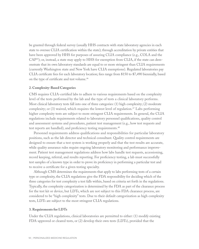be granted through federal survey (usually HHS contracts with state laboratory agencies in each state to oversee CLIA certification within the state); through accreditation by private entities that have been approved by HHS for purposes of assuring CLIA compliance (e.g., COLA and the CAP45); or, instead, a state may apply to HHS for exemption from CLIA, if the state can demonstrate that its own laboratory standards are equal to or more stringent than CLIA requirements (currently Washington state and New York have CLIA exemptions). Regulated laboratories pay CLIA certificate fees for each laboratory location; fees range from \$150 to \$7,490 biennially, based on the type of certificate and test volume.46

#### **2. Complexity-Based Categories**

CMS requires CLIA-certified labs to adhere to various requirements based on the complexity level of the tests performed by the lab and the type of tests a clinical laboratory performs. Most clinical laboratory tests fall into one of three categories: (1) high complexity; (2) moderate complexity; or  $(3)$  waived, which requires the lowest level of regulation.<sup>47</sup> Labs performing higher complexity tests are subject to more stringent CLIA requirements. In general, the CLIA regulations include requirements related to laboratory personnel qualifications, quality control and assessment systems and procedures, patient test management (e.g., how test requests and test reports are handled), and proficiency testing requirements.<sup>48</sup>

Personnel requirements address qualifications and responsibilities for particular laboratory positions, such as the lab director and technical consultant. Quality control requirements are designed to ensure that a test system is working properly and that the test results are accurate, while quality assurance rules require ongoing laboratory monitoring and performance improvement. Patient test management regulations address how labs handle test requests, accessioning, record keeping, referral, and results reporting. For proficiency testing, a lab must successfully test samples of a known type in order to prove its proficiency in performing a particular test and to receive a certificate for a given testing specialty.

Although CMS determines the requirements that apply to labs performing tests of a certain type or complexity, the CLIA regulations give the FDA responsibility for deciding which of the three categories for test complexity a test falls within, based on criteria set forth in the regulations. Typically, the complexity categorization is determined by the FDA as part of the clearance process for the test kit or device, but LDTs, which are not subject to this FDA clearance process, are considered to be "high complexity" tests. Due to their default categorization as high complexity tests, LDTs are subject to the most stringent CLIA regulations.

#### **3. Requirements for LDTs**

Under the CLIA regulations, clinical laboratories are permitted to either: (1) modify existing FDA-approved or cleared tests, or (2) develop their own tests (LDTs), provided that the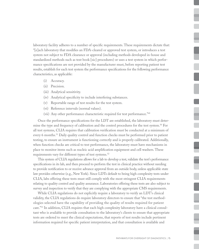laboratory facility adheres to a number of specific requirements. These requirements dictate that: "[e]ach laboratory that modifies an FDA-cleared or approved test system, or introduces a test system not subject to FDA clearance or approval (including methods developed in-house and standardized methods such as text book [sic] procedures) or uses a test system in which performance specifications are not provided by the manufacturer must, before reporting patient test results, establish for each test system the performance specifications for the following performance characteristics, as applicable:

- (i) Accuracy.
- (ii) Precision.
- (iii) Analytical sensitivity.
- (iv) Analytical specificity to include interfering substances.
- (v) Reportable range of test results for the test system.
- (vi) Reference intervals (normal values).
- (vii) Any other performance characteristic required for test performance."49

Once the performance specifications for the LDT are established, the laboratory must determine the type and frequency of calibration and the control procedures for the test system.<sup>50</sup> For all test systems, CLIA requires that calibration verification must be conducted at a minimum of every 6 months.<sup>51</sup> Daily quality control and function checks must be performed prior to patient testing, to ensure an instrument is functioning correctly and is properly calibrated. Additionally, when function checks are critical to test performance, the laboratory must have mechanisms in place to monitor items such as nucleic acid amplification equipment and cell washers. These requirements vary for different types of test systems.<sup>52</sup>

This system of CLIA regulations allows for a lab to develop a test, validate the test's performance specifications in its lab, and then proceed to perform the test in clinical practice without needing to provide notification to or receive advance approval from an outside body, unless applicable state law provides otherwise (e.g., New York). Since LDTs default to being high complexity tests under CLIA, labs offering these tests must still comply with the most stringent CLIA requirements relating to quality control and quality assurance. Laboratories offering these tests are also subject to survey and inspection to verify that they are complying with the appropriate CMS requirements.

While CLIA regulations do not explicitly require a laboratory to verify an LDT's clinical validity, the CLIA regulations do require laboratory directors to ensure that "the test methodologies selected have the capability of providing the quality of results required for patient care."<sup>53</sup> In addition, CLIA requires that each high complexity laboratory have a clinical consultant who is available to provide consultation to the laboratory's clients to ensure that appropriate tests are ordered to meet the clinical expectations, that reports of test results include pertinent information required for specific patient interpretation, and that consultation is available and

I

l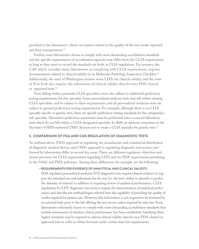provided to the laboratory's clients on matters related to the quality of the test results reported and their interpretation.<sup>54</sup>

Further, some laboratories choose to comply with more demanding accreditation standards and the specific requirements of accreditation agencies may differ from the CLIA requirements as long as they meet or exceed the standards set forth in CLIA regulations. For instance, the CAP, which accredits many laboratories as complying with CLIA requirements, requires documentation related to clinical validity in its Molecular Pathology Inspection Checklist.<sup>55</sup> Additionally, the state of Washington reviews some LDTs for clinical validity, and the state of New York also requires the submission of clinical validity data for non-FDA-cleared or -approved tests.56

Tests falling within particular CLIA specialties must also adhere to additional proficiency testing requirements for that specialty. Some personalized medicine tests may fall within existing CLIA specialties and be subject to these requirements, and all personalized medicine tests are subject to general proficiency testing requirements. For example, although there is no CLIA specialty specific to genetic tests, there are specific proficiency testing standards for the cytogenetics sub-specialty. Alternative proficiency assessment must be performed twice a year for laboratory tests which do not fall within a CLIA-designated specialty. In 2008, an advisory committee to the Secretary of HHS endorsed CMS's decision not to create a CLIA specialty for genetic tests.<sup>57</sup>

#### **C. Comparison of FDA and CMS Regulation of Diagnostic Tests**

As outlined above, FDA's approach to regulating the manufacture and commercial distribution of diagnostic medical devices and CMS's approach to regulating diagnostic test services performed by laboratories differ in several key areas. There are different regulatory objectives and review processes for CLIA requirements regarding LDTs and for FDA requirements pertaining to the 510(k) and PMA pathways. Among these differences, for example, are the following:

#### • **Requirements for evidence of analytical and clinical validity.**

FDA regulated personalized medicine IVD diagnostic tests require clinical evidence to support the intended use and indications for the test (i.e. the test's ability to identify or predict the disorder of interest) in addition to requiring review of analytical performance. CLIA regulations for LDT diagnostic test services require the demonstration of analytical performance and that the test methodologies selected have the capability of providing the quality of results required for patient care. However, this information is not required to be reviewed by an external body prior to the lab offering the test service unless required by state law. Some laboratories voluntarily choose to comply with more demanding accreditation standards that include assessments of whether clinical performance has been established. Satisfying these higher standards may be required to submit clinical validity data for non-FDA-cleared or approved tests in order to obtain licensure under certain state law requirements.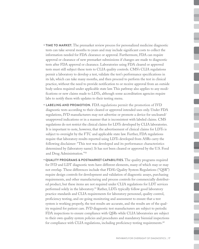- **Time to market.** The premarket review process for personalized medicine diagnostic tests can take several months to years and may include significant costs to collect the information needed for FDA clearance or approval. Furthermore, FDA can require approval or clearance of new premarket submissions if changes are made to diagnostic tests after FDA approval or clearance. Laboratories using FDA cleared or approved tests must still subject these tests to CLIA quality controls. CMS's CLIA regulations permit a laboratory to develop a test, validate the test's performance specifications in its lab, which can take many months, and then proceed to perform the test in clinical practice, without the need to provide notification to or receive approval from an outside body unless required under applicable state law. This pathway also applies to any modifications or new claims made to LDTs, although some accreditation agencies require labs to notify them with updates to their testing menu.
- **Labeling and Promotion.** FDA regulations permit the promotion of IVD diagnostic tests according to their cleared or approved intended uses only. Under FDA regulations, IVD manufacturers may not advertise or promote a device for uncleared/ unapproved indications or in a manner that is inconsistent with labeled claims. CMS regulations do not restrict the clinical claims for LDTs developed by CLIA laboratories. It is important to note, however, that the advertisement of clinical claims for LDTs is subject to oversight by the FTC and applicable state law. Further, FDA regulations require that laboratory results reported using LDTs developed from ASRs carry the following disclaimer: "This test was developed and its performance characteristics determined by (laboratory name). It has not been cleared or approved by the U.S. Food and Drug Administration."58
- • **Quality Programs & Postmarket Capabilities.** The quality programs required for IVD and LDT diagnostic tests have different elements, many of which may or may not overlap. These differences include that FDA's Quality System Regulations ("QSR") require design controls for development and validation of diagnostic assays, purchasing requirements, and other manufacturing and process controls for commercially distributed product, but these items are not required under CLIA regulations for LDT services performed solely in the laboratory.<sup>59</sup> Rather, LDTs typically follow good laboratory practice standards and CLIA requirements for laboratory personnel, quality control, proficiency testing, and on-going monitoring and assessment to ensure that a test system is working properly, the test results are accurate, and the results are of the quality required for patient care. IVD diagnostic test manufacturers are subject to periodic FDA inspections to ensure compliance with QSRs while CLIA laboratories are subject to their own quality system policies and procedures and mandatory biennial inspections for compliance with CLIA regulations, including proficiency testing requirements. $60$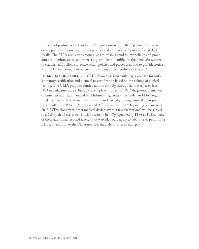In terms of postmarket authority, FDA regulations require the reporting of adverse events potentially associated with a product and also provide a process for product recalls. The CLIA regulations require labs to establish and follow policies and procedures to monitor, assess, and correct any problems identified in their analytic systems, to establish and follow corrective action policies and procedures, and to provide notice and implement corrections when errors in patient test results are detected.<sup>61</sup>

• **Financial Consequences.** CLIA laboratories currently pay a user fee for initial laboratory certification and biennial re-certification based on the volume of clinical testing. The CLIA program funded almost entirely through laboratory user fees. IVD manufacturers are subject to varying levels of fees for IVD diagnostic premarket submissions and pay an annual establishment registration fee under an FDA program funded partially through industry user fees and partially through annual appropriations. As a result of the Patient Protection and Affordable Care Act,<sup>62</sup> beginning on January 1, 2013, IVDs, along with other medical devices (with a few exemptions) will be subject to a 2.3% federal excise tax. If LDTs were to be fully regulated by FDA as IVDs, many of these additional fees and taxes, if not waived, would apply to laboratories performing LDTs, in addition to the CLIA user fees that laboratories already pay.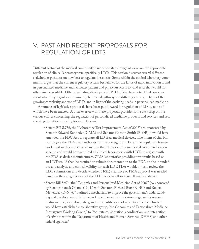## V. Past and Recent Proposals for Regulation of LDTs

Different sectors of the medical community have articulated a range of views on the appropriate regulation of clinical laboratory tests, specifically LDTs. This section discusses several different stakeholder positions on how best to regulate these tests. Some within the clinical laboratory community argue that the current regulatory system best allows for the kinds of rapid innovation found in personalized medicine and facilitates patient and physician access to valid tests that would not otherwise be available. Others, including developers of IVD test kits, have articulated concerns about what they regard as the currently bifurcated pathway and differing criteria, in light of the growing complexity and use of LDTs, and in light of the evolving needs in personalized medicine.

A number of legislative proposals have been put forward for regulation of LDTs, none of which have been enacted. A brief overview of these proposals provides some backdrop on the various efforts concerning the regulation of personalized medicine products and services and sets the stage for efforts moving forward. In sum:

- Senate Bill S.736, the "Laboratory Test Improvement Act of 2007" (co-sponsored by Senator Edward Kennedy (D-MA) and Senator Gordon Smith (R-OR),<sup>63</sup> would have amended the FDC Act to regulate all LDTs as medical devices. The intent of this bill was to give the FDA clear authority for the oversight of LDTs. The regulatory framework used in this model was based on the FDA's existing medical device classification scheme and would have required all clinical laboratories with LDTs to register with the FDA as device manufacturers. CLIA laboratories providing test results based on an LDT would then be required to submit documentation to the FDA on the intended use and analytic and clinical validity for each LDT. FDA would, in turn, review the LDT submissions and decide whether 510(k) clearance or PMA approval was needed based on the categorization of the LDT as a class II or class III medical device.
- Senate Bill S.976, the "Genomics and Personalized Medicine Act of 2007" (co-sponsored by Senator Barack Obama (D-IL) with Senators Richard Burr (R-NC) and Robert Menendez (D-NJ)),<sup>64</sup> outlined a mechanism to improve the government's understanding and development of a framework to enhance the innovation of genomics research in disease diagnosis, drug safety, and the identification of novel treatments. This bill would have established a collaborative group, "the Genomics and Personalized Medicine Interagency Working Group," to "facilitate collaboration, coordination, and integration of activities within the Department of Health and Human Services (DHHS) and other federal agencies."

 $\overline{a}$ 

۰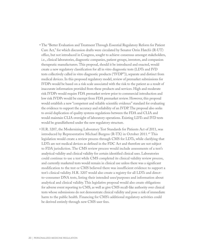- The "Better Evaluation and Treatment Through Essential Regulatory Reform for Patient Care Act," for which discussion drafts were circulated by Senator Orrin Hatch's (R-UT) office, but not introduced in Congress, sought to achieve consensus amongst stakeholders, i.e., clinical laboratories, diagnostic companies, patient groups, investors, and companion therapeutic manufacturers. This proposal, should it be introduced and enacted, would create a new regulatory classification for all in vitro diagnostic tests (LDTs and IVD tests collectively called in vitro diagnostic products ("IVDP")), separate and distinct from medical devices. In this proposed regulatory model, review of premarket submissions for IVDPs would be based on a risk scale associated with the risk to the patient as a result of inaccurate information provided from these products and services. High and moderate risk IVDPs would require FDA premarket review prior to commercial introduction and low risk IVDPs would be exempt from FDA premarket review. However, this proposal would establish a new "competent and reliable scientific evidence" standard for evaluating the evidence to support the accuracy and reliability of an IVDP. The proposal also seeks to avoid duplication of quality systems regulations between the FDA and CLIA and would maintain CLIA oversight of laboratory operations. Existing LDTs and IVD tests would be grandfathered under the new regulatory structure.
- H.R. 3207, the Modernizing Laboratory Test Standards for Patients Act of 2011, was introduced by Representative Michael Burgess (R-TX) in October 2011.<sup>65</sup> This legislation would create a review process through CMS for LDTs, while clarifying that LDTs are not medical devices as defined in the FDC Act and therefore are not subject to FDA jurisdiction. The CMS review process would include assessments of a test's analytical validity and clinical validity for certain identified clinical uses. Laboratories could continue to use a test while CMS completed its clinical validity review process, and currently marketed tests would remain in clinical use unless there was a significant modification to the test or CMS believed there was insufficient evidence to support a test's clinical validity. H.R. 3207 would also create a registry for all LDTs and directto-consumer DNA tests, listing their intended uses/purposes and information about analytical and clinical validity. This legislative proposal would also create obligations for adverse event reporting to CMS, as well as give CMS recall-like authority over clinical tests whose submissions do not demonstrate clinical validity and pose a risk of immediate harm to the public health. Financing for CMS's additional regulatory activities could be derived entirely through new CMS user fees.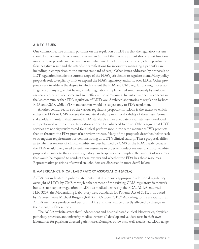#### **A. Key Issues**

One common feature of many positions on the regulation of LDTs is that the regulatory system should be risk-based. Risk is usually viewed in terms of the risk to a patient should a test function incorrectly or provide an inaccurate result when used in clinical practice (i.e., a false positive or false negative result and the attendant ramifications for incorrectly managing a patient's care, including in comparison to the current standard of care). Other issues addressed by proposals on LDT regulation include the current scope of the FDA's jurisdiction to regulate them. Many policy proposals seek to explicitly limit or expand the FDA's regulatory authority over LDTs. Other proposals seek to address the degree to which current the FDA and CMS regulations might overlap. In general, many argue that having similar regulations implemented simultaneously by multiple agencies is overly burdensome and an inefficient use of resources. In particular, there is concern in the lab community that FDA regulation of LDTs would subject laboratories to regulation by both FDA and CMS, while IVD manufacturers would be subject only to FDA regulation.

Another central feature of the various regulatory proposals for LDTs is the extent to which either the FDA or CMS oversee the analytical validity or clinical validity of these tests. Some stakeholders maintain that current CLIA standards either adequately evaluate tests developed and performed within clinical laboratories or can be enhanced to do so. Others argue that LDT services are not rigorously tested for clinical performance in the same manner as IVD products that go through the FDA premarket review process. Many of the proposals described below seek to strengthen requirements for demonstrating an LDT's clinical validity. These proposals differ as to whether reviews of clinical validity are best handled by CMS or the FDA. Partly because the FDA would likely need to seek new resources in order to conduct reviews of clinical validity, proposed changes to the existing regulatory landscape also contemplate the amount of resources that would be required to conduct these reviews and whether the FDA has these resources. Representative positions of several stakeholders are discussed in more detail below.

#### **B. American Clinical Laboratory Association (ACLA)**

ACLA has indicated in public statements that it supports appropriate additional regulatory oversight of LDTs by CMS through enhancement of the existing CLIA regulatory framework but does not support regulation of LDTs as medical devices by the FDA. ACLA endorsed H.R. 3207, the Modernizing Laboratory Test Standards for Patients Act of 2011, introduced by Representative Michael Burgess (R-TX) in October 2011.<sup>67</sup> According to the association, all ACLA members produce and perform LDTs and thus will be directly affected by change in the oversight of these tests.

The ACLA website states that "independent and hospital based clinical laboratories, physician pathology practices, and university medical centers all develop and validate tests in their own laboratories for physician directed patient care. Examples of low risk, well established LDTs range ٦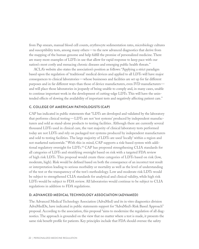from Pap smears, manual blood cell counts, erythrocyte sedimentation rates, microbiology cultures and susceptibility tests, among many others—to the new advanced diagnostics that derive from the mapping of the human genome and help fulfill the promise of personalized medicine. There are many more examples of LDTs in use that allow for rapid response to keep pace with our nation's most costly and menacing chronic diseases and emerging public health threats."

ACLA's website also states the association's position as follows: "Applying a strict paradigm based upon the regulation of 'traditional' medical devices and applied to all LDTs will have major consequences to clinical laboratories—whose businesses and facilities are set up for far different purposes and in far different ways than those of device manufacturers, even IVD manufacturers and will place those laboratories in jeopardy of being unable to comply and, in many cases, unable to continue important work in the development of cutting-edge LDTs. This will have the unintended effects of slowing the availability of important tests and negatively affecting patient care."

#### **C. College of American Pathologists (CAP)**

CAP has indicated in public statements that "LDTs are developed and validated by the laboratory that performs clinical testing—LDTs are not 'test systems' produced by independent manufacturers and sold as stand-alone products to testing facilities. Although there are currently several thousand LDTs used in clinical care, the vast majority of clinical laboratory tests performed today are not LDTs and rely on packaged test systems produced by independent manufacturers and sold to testing facilities. The large majority of LDTs are used 'locally' within a region and not marketed nationwide." With this in mind, CAP supports a risk-based system with additional regulatory oversight for LDTs.68 CAP has proposed strengthening CLIA standards for all categories of LDTs and stratifying oversight based on risk with a targeted FDA review of high risk LDTs. This proposal would create three categories of LDTs based on risk (low, moderate, high). Risk would be defined based on both the consequence of an incorrect test result or interpretation leading to serious morbidity or mortality as well as the level of understanding of the test or the transparency of the test's methodology. Low and moderate risk LDTs would be subject to strengthened CLIA standards for analytical and clinical validity, while high risk LDTs would be subject to FDA review. All laboratories would continue to be subject to CLIA regulations in addition to FDA regulations.

#### **D. Advanced Medical Technology Association (AdvaMed)**

The Advanced Medical Technology Association (AdvaMed) and its in vitro diagnostics division AdvaMedDx, have indicated in public statements support for "AdvaMed's Risk Based Approach" proposal. According to the association, this proposal "aims to modernize the regulation of all diagnostics. The approach is grounded on the view that no matter where a test is made, it presents the same risk benefit profile for patients. Key principles include that FDA should oversee the safety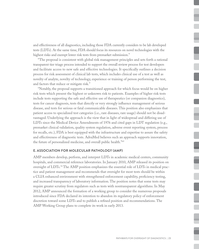and effectiveness of all diagnostics, including those FDA currently considers to be lab developed tests (LDTs). At the same time, FDA should focus its resources on novel technologies with the highest risks and exempt lower risk tests from premarket submission."

"The proposal is consistent with global risk management principles and sets forth a rational transparent tier triage process intended to support the overall review process for test developers and facilitate access to new safe and effective technologies. It specifically outlines a decision process for risk assessment of clinical lab tests, which includes clinical use of a test as well as novelty of analyte, novelty of technology, experience or training of person performing the test, and factors that reduce or mitigate risk."

"Notably, the proposal supports a transitioned approach for which focus would be on higher risk tests which present the highest or unknown risk to patients. Examples of higher risk tests include tests supporting the safe and effective use of therapeutics (or companion diagnostics), tests for cancer diagnosis, tests that directly or very strongly influence management of serious disease, and tests for serious or fatal communicable diseases. This position also emphasizes that patient access to specialized test categories (i.e., rare diseases, rare usage) should not be disadvantaged. Underlying the approach is the view that in light of widespread and differing use of LDTs since the Medical Device Amendments of 1976 and cited gaps in LDT regulation (e.g., premarket clinical validation, quality system regulation, adverse event reporting system, process for recalls, etc.), FDA is best equipped with the infrastructure and expertise to assure the safety and effectiveness of diagnostic tests. AdvaMed believes such an approach supports innovation, the future of personalized medicine, and overall public health."69

#### **E. Association for Molecular Pathology (AMP)**

AMP members develop, perform, and interpret LDTs in academic medical centers, community hospitals, and commercial reference laboratories. In January 2010, AMP released its position on oversight of LDTs.70 The AMP position emphasizes the essential role of LDTs in medical practice and patient management and recommends that oversight for most tests should be within a CLIA enhanced environment with strengthened enforcement capability, proficiency testing, and increased transparency of laboratory information. The position notes that some tests may require greater scrutiny from regulators such as tests with nontransparent algorithms. In May 2012, AMP announced the formation of a working group to consider the numerous proposals introduced since FDA declared its intention to abandon its regulatory policy of enforcement discretion toward some LDTs and to publish a refined position and recommendations. The AMP Working Group plans to complete its work in early 2013.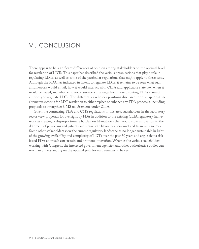### Vi. Conclusion

There appear to be significant differences of opinion among stakeholders on the optimal level for regulation of LDTs. This paper has described the various organizations that play a role in regulating LDTs, as well as some of the particular regulations that might apply to these tests. Although the FDA has indicated its intent to regulate LDTs, it remains to be seen what such a framework would entail, how it would interact with CLIA and applicable state law, when it would be issued, and whether it would survive a challenge from those disputing FDA's claim of authority to regulate LDTs. The different stakeholder positions discussed in this paper outline alternative systems for LDT regulation to either replace or enhance any FDA proposals, including proposals to strengthen CMS requirements under CLIA.

Given the contrasting FDA and CMS regulations in this area, stakeholders in the laboratory sector view proposals for oversight by FDA in addition to the existing CLIA regulatory framework as creating a disproportionate burden on laboratories that would slow innovation to the detriment of physicians and patients and strain both laboratory personnel and financial resources. Some other stakeholders view the current regulatory landscape as no longer sustainable in light of the growing availability and complexity of LDTs over the past 30 years and argue that a riskbased FDA approach can sustain and promote innovation. Whether the various stakeholders working with Congress, the interested government agencies, and other authoritative bodies can reach an understanding on the optimal path forward remains to be seen.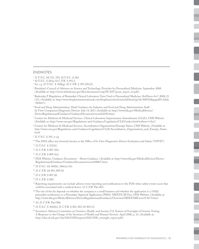#### ENDNOTES

- 1 21 U.S.C. §§ 331, 393; 42 U.S.C. § 262.
- 2 42 U.S.C. § 263a; 42 C.F.R. § 493.2.
- <sup>3</sup> *See, e.g.* 21 U.S.C. § 360j(g); 42 C.F.R. § 493.3(b)(2).
- <sup>4</sup> President's Council of Advisors on Science and Technology. Priorities for Personalized Medicine. September 2008. (Available at: http://www.whitehouse.gov/files/documents/ostp/PCAST/pcast\_report\_v2.pdf).
- <sup>5</sup> Radensky, P. Regulation of Biomarker Clinical Laboratory Tests Used in Personalized Medicine. *BioPharm Int'l*. 2008; 21 (12). (Available at: http://www.biopharminternational.com/biopharm/article/articleDetail.jsp?id=568932&pageID=1&sk  $=8$ cdate= $).$
- <sup>6</sup> Food and Drug Administration. Draft Guidance for Industry and Food and Drug Administration Staff In Vitro Companion Diagnostic Devices. July 14, 2011 (Available at: http://www.fda.gov/MedicalDevices/ DeviceRegulationandGuidance/GuidanceDocuments/ucm262292.htm).
- 7 Centers for Medicare & Medicaid Services. Clinical Laboratory Improvement Amendments (CLIA). CMS Website. (Available at: http://www.cms.gov/Regulations-and-Guidance/Legislation/CLIA/index.html?redirect=/clia/).
- <sup>8</sup> Centers for Medicare & Medicaid Services. Accreditation Organizations/Exempt States. CMS Website. (Available at: http://www.cms.gov/Regulations-and-Guidance/Legislation/CLIA/Accreditation\_Organizations\_and\_Exempt\_States. html
- 9 21 U.S.C. § 301 *et seq.*
- <sup>10</sup> This FDA office was formerly known as the Office of In Vitro Diagnostics Device Evaluation and Safety ("OIVD").
- 11 21 U.S.C. § 321(h).
- 12 21 C.F.R. § 807.3(b).
- 13 21 C.F.R. § 809.3(a).
- <sup>14</sup> FDA Website. Guidance Documents About Guidance. (Available at: http://www.fda.gov/MedicalDevices/Device-RegulationandGuidance/GuidanceDocuments/ucm108067.htm).
- 15 21 U.S.C. §§ 360(k), 360e(a)-(b).
- 16 21 C.F.R. §§ 801, 809.10.
- 17 21 C.F.R. § 807.20.
- 18 21 C.F.R. § 820.
- <sup>19</sup> Reporting requirements can include adverse event reporting and notifications to the FDA when safety events occur that could be associated with a medical device. 21 C.F.R. Part 803.
- $20$  The size of the fee depends on whether the company is a small business and whether the application is a  $510(k)$ premarket notification or a Premarket Approval Application (PMA). MDUFA III Fees. FDA Website. (Available at: http://www.fda.gov/MedicalDevices/DeviceRegulationandGuidance/Overview/MDUFAIII/ucm313673.htm).
- <sup>21</sup> *See* 21 C.F.R. Part 806.
- 22 21 U.S.C. § 360i(b); 21 C.F.R. § 803, 803.30-803.33.
- <sup>23</sup> Secretary's Advisory Committee on Genetics, Health, and Society. U.S. System of Oversight of Genetic Testing: A Response to the Charge of the Secretary of Health and Human Services. April 2008, p. 32. (Available at: http://oba.od.nih.gov/oba/SACGHS/reports/SACGHS\_oversight\_report.pdf).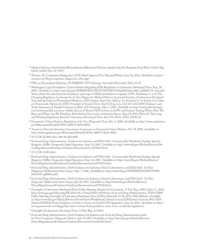- <sup>24</sup> Medical Devices; Classification/Reclassification/Restricted Devices; Analyte Specific Reagents; Final Rule. 62 Fed. Reg. 62243, 62249 (Nov. 21 1997).
- <sup>25</sup> Thomae, M. Companion Diagnostics: LDTs Need Approval Too. Myraqa Website. June 26, 2012. (Available at: http:// myraqa.com/blog/companion\_diagnostics\_ldts\_app).
- <sup>26</sup> FDA on Personalized Medicine. IN PERSON. *IVD Technology*. November/December 2010, 22-27.
- <sup>27</sup> Washington Legal Foundation. Citizen Petition Regarding FDA Regulation of Laboratory Developed Tests. Sept. 28, 2006. (Available at: http://www.fda.gov/OHRMS/DOCKETS/DOCKETS/06p0402/06p-0402-cp00001-01-vol1.pdf ). Many others have discussed the foundation and scope of FDA's jurisdiction to regulate LDTs. Hathaway, C. et al. The Changing Regulatory Landscape for *In Vitro* Diagnostic Medical Devices: Increased Scrutiny of Laboratory Developed Tests and the Safety of Personalized Medicine. *FDLI Update*. Sept./Oct. 2010, p. 21-24; Javitt, G. In Search of a Coherent Framework: Options for FDA Oversight of Genetic Tests. *Food & Drug Law J*. 62: 617-652 (2007); Kahan, J. and Tiedy-Stevenson, S. Parallel Universes Collide. *IVD Technology.* Mar. 1, 2007. (Available at: http://www.ivdtechnology. com/article/parallel-universes-collide); Kazon, P. Recent FDA Actions on LDTs and Genetic Testing: Where Have We Been and Where Are We Heading? *BNA Medical Devices Law & Industry Report*. Aug. 25, 2010; Weiss, R. The Long and Winding Regulatory Road for Laboratory-Developed Tests. *Am J Clin Pathol*. 2012; 138:20-26.
- <sup>28</sup> Genentech. Citizen Petition; Regulation of *In Vitro* Diagnostic Tests. Dec. 5, 2008. (Available at: http://www.regulations. gov/#!documentDetail;D=FDA-2008-P-0638-0001).
- <sup>29</sup> American Clinical Laboratory Association. Comments to Genentech Citizen Petition. Feb. 18, 2009. (Available at: http://www.regulations.gov/#!documentDetail;D=FDA-2008-P-0638-0006).
- <sup>30</sup> 21 C.F.R. §§ 809.10(e), 809.30, 864.4020.
- <sup>31</sup> Food and Drug Administration. Guidance for Industry and FDA Staff Commercially Distributed Analyte Specific Reagents (ASRs): Frequently Asked Questions. Sept. 14, 2007. (Available at: http://www.fda.gov/MedicalDevices/DeviceRegulationandGuidance/GuidanceDocuments/ucm078423.htm).
- <sup>32</sup> 21 C.F.R. § 809.30(e).
- <sup>33</sup> Food and Drug Administration. Guidance for Industry and FDA Staff Commercially Distributed Analyte Specific Reagents (ASRs): Frequently Asked Questions. Sept. 14, 2007. (Available at: http://www.fda.gov/MedicalDevices/ DeviceRegulationandGuidance/GuidanceDocuments/ucm078423.htm).
- <sup>34</sup> Food and Drug Administration. Draft Guidance for Industry, Clinical Laboratories, and FDA Staff In Vitro Diagnostic Multivariate Index Assays. Sept. 7, 2006. (Available at: http://www.fda.gov/OHRMS/DOCKETS/98fr/ 06d-0347-gdl0001.pdf ).
- <sup>35</sup> Food and Drug Administration. Draft Guidance for Industry, Clinical Laboratories, and FDA Staff In Vitro Diagnostic Multivariate Index Assays. July 26, 2007. (Available at: http://www.fda.gov/MedicalDevices/ DeviceRegulationandGuidance/GuidanceDocuments/ucm079148.htm).
- <sup>36</sup> Oversight of Laboratory Developed Tests; Public Meeting; Request for Comments. 75 Fed. Reg. 34463 ( June 17, 2010). http://www.gpo.gov/fdsys/pkg/FR-2010-06-17/html/2010-14654.htm; Food and Drug Administration. FDA/CDRH Public Meeting: Oversight of Laboratory Developed Tests (LDTs), Date July 19-20, 2010. FDA Website. (Available at: http://www.fda.gov/MedicalDevices/NewsEvents/WorkshopsConferences/ucm212830.htm); Genome Web. FDA Shelves IVDMIA Final Guidelines in Order to Focus on Overall LDT Regulation. June 23, 2010. (Available at: http:// www.genomeweb.com/dxpgx/fda-shelves-ivdmia-final-guidelines-order-focus-overall-ldt-regulation).
- <sup>37</sup> Oversight of Laboratory Developed Tests, 75 Fed. Reg. at 34464.
- <sup>38</sup> Food and Drug Administration. Draft Guidance for Industry and Food and Drug Administration Staff In Vitro Companion Diagnostic Devices. July 14, 2011 (Available at: http://www.fda.gov/MedicalDevices/ DeviceRegulationandGuidance/GuidanceDocuments/ucm262292.htm).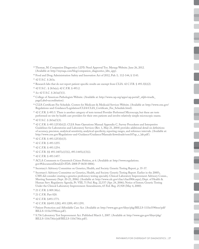- <sup>39</sup> Thomae, M. Companion Diagnostics: LDTs Need Approval Too. Myraqa Website. June 26, 2012. (Available at: http://myraqa.com/blog/companion\_diagnostics\_ldts\_app).
- <sup>40</sup> Food and Drug Administration Safety and Innovation Act of 2012, Pub. L. 112-144, § 1143.

41 42 U.S.C. § 263a.

- $42$  Research labs that do not report patient-specific results are exempt from CLIA. 42 C.F.R. § 493.3(b)(2).
- 43 42 U.S.C.. § 263a(a); 42 C.F.R. § 493.2.
- <sup>44</sup> *See* 42 U.S.C. § 263a(f )(1).
- <sup>45</sup> College of American Pathologists Website. (Available at: http://www.cap.org/apps/cap.portal?\_nfpb=true&\_ pageLabel=accreditation).
- <sup>46</sup> CLIA Certificate Fee Schedule. Centers for Medicare & Medicaid Services Website. (Available at: http://www.cms.gov/ Regulations-and-Guidance/Legislation/CLIA/CLIA\_Certificate\_Fee\_Schedule.html).

<sup>47</sup> 42 C.F.R. § 493.5. There is another category of tests termed Provider Performed Microscopy, but these are tests performed on-site by health care providers for their own patients and involve relatively simple microscopic exams.

<sup>49</sup> 42 C.F.R. § 493.1253(b)(2). CLIA State Operations Manual Appendix C, Survey Procedures and Interpretive Guidelines for Laboratories and Laboratory Services (Rev. 1, May 21, 2004) provides additional detail on definitions of accuracy, precision, analytical sensitivity, analytical specificity, reporting ranges, and reference intervals. (Available at: http://www.cms.gov/Regulations-and-Guidance/Guidance/Manuals/downloads/som107ap\_c\_lab.pdf).

50 42 C.F.R. § 493.1253(b)(3).

51 42 C.F.R. § 493.1255.

52 42 C.F.R. § 493.1254.

53 42 C.F.R. §§ 493.1407(e)(3)(i), 493.1445(e)(3)(i).

<sup>54</sup> 42 C.F.R. § 493.1457.

- <sup>55</sup> ACLA Comments to Genentech Citizen Petition, at 6. (Available at: http://www.regulations. gov/#!documentDetail;D=FDA-2008-P-0638-0006).
- 56 Secretary's Advisory Committee on Genetics, Health, and Society. Genetic Testing Report, p. 35-37.
- <sup>57</sup> Secretary's Advisory Committee on Genetics, Health, and Society. Genetic Testing Report. Earlier in the 2000's, CMS did consider creating a genetics proficiency testing specialty. Clinical Laboratory Improvement Advisory Comm., Meeting Summary (Sept. 20-21, 2006). (Available at: http://www.cdc.gov/cliac/cliac0906.aspx); Dept. of Health & Human Serv. Regulatory Agenda, Pt. VIII, 71 Fed. Reg. 22,537 (Apr. 24, 2006); Notice of Intent; Genetic Testing Under the Clinical Laboratory Improvement Amendments, 65 Fed. Reg. 25,928 (May 4, 2000).

<sup>60</sup> 42 C.F.R. §493.1771.

- <sup>61</sup> 42 C.F.R. §§493.1282; 493.1289; 493.1291.
- <sup>62</sup> Patient Protection and Affordable Care Act. (Available at: http://www.gpo.gov/fdsys/pkg/BILLS-111hr3590enr/pdf/ BILLS-111hr3590enr.pdf).
- <sup>63</sup> S.736 Laboratory Test Improvement Act. Published March 1, 2007. (Available at: http://www.gpo.gov/fdsys/pkg/ BILLS-110s736is/pdf/BILLS-110s736is.pdf ).

<sup>48 42</sup> U.S.C. § 263a(f )(3).

<sup>58</sup> 21 C.F.R. § 809.30(e).

<sup>59</sup> 21 C.F.R. Part 820.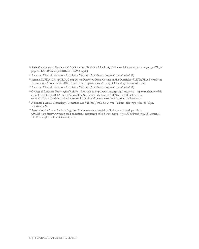- <sup>64</sup> S.976 Genomics and Personalized Medicine Act. Published March 23, 2007. (Available at: http://www.gpo.gov/fdsys/ pkg/BILLS-110s976is/pdf/BILLS-110s976is.pdf).
- <sup>65</sup> American Clinical Laboratory Association Website. (Available at: http://acla.com/node/361).
- <sup>66</sup> Serrano, K. FDA QS reg/CLIA Comparison: Overview. Open Meeting on the Oversight of LDTs; FDA PowerPoint Presentation. November 22, 2010. (Available at: http://acla.com/oversight-laboratory-developed-tests).
- <sup>67</sup> American Clinical Laboratory Association Website. (Available at: http://acla.com/node/361).
- <sup>68</sup> College of American Pathologists Website. (Available at: http://www.cap.org/apps/cap.portal?\_nfpb=true&cntvwrPtlt\_ actionOverride=/portlets/contentViewer/show&\_windowLabel=cntvwrPtlt&cntvwrPtlt{actionForm. contentReference}=advocacy/ldt/ldt\_oversight\_faq.html&\_state=maximized&\_pageLabel=cntvwr).
- <sup>69</sup> Advanced Medical Technology Association Dx Website. (Available at: http://advameddx.org/go.cfm?do=Page. View&pid=9).
- <sup>70</sup> Association for Molecular Pathology Position Statement: Oversight of Laboratory Developed Tests. (Available at: http://www.amp.org/publications\_resources/position\_statements\_letters/Gov/Position%20Statements/ LDTOversightPositionStatement.pdf ).